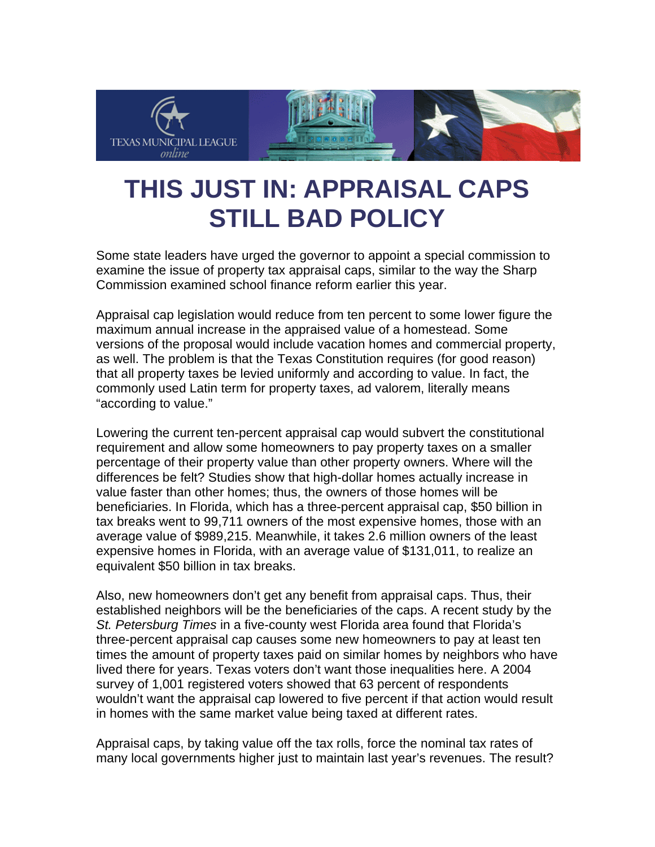

## **THIS JUST IN: APPRAISAL CAPS STILL BAD POLICY**

Some state leaders have urged the governor to appoint a special commission to examine the issue of property tax appraisal caps, similar to the way the Sharp Commission examined school finance reform earlier this year.

Appraisal cap legislation would reduce from ten percent to some lower figure the maximum annual increase in the appraised value of a homestead. Some versions of the proposal would include vacation homes and commercial property, as well. The problem is that the Texas Constitution requires (for good reason) that all property taxes be levied uniformly and according to value. In fact, the commonly used Latin term for property taxes, ad valorem, literally means "according to value."

Lowering the current ten-percent appraisal cap would subvert the constitutional requirement and allow some homeowners to pay property taxes on a smaller percentage of their property value than other property owners. Where will the differences be felt? Studies show that high-dollar homes actually increase in value faster than other homes; thus, the owners of those homes will be beneficiaries. In Florida, which has a three-percent appraisal cap, \$50 billion in tax breaks went to 99,711 owners of the most expensive homes, those with an average value of \$989,215. Meanwhile, it takes 2.6 million owners of the least expensive homes in Florida, with an average value of \$131,011, to realize an equivalent \$50 billion in tax breaks.

Also, new homeowners don't get any benefit from appraisal caps. Thus, their established neighbors will be the beneficiaries of the caps. A recent study by the *St. Petersburg Times* in a five-county west Florida area found that Florida's three-percent appraisal cap causes some new homeowners to pay at least ten times the amount of property taxes paid on similar homes by neighbors who have lived there for years. Texas voters don't want those inequalities here. A 2004 survey of 1,001 registered voters showed that 63 percent of respondents wouldn't want the appraisal cap lowered to five percent if that action would result in homes with the same market value being taxed at different rates.

Appraisal caps, by taking value off the tax rolls, force the nominal tax rates of many local governments higher just to maintain last year's revenues. The result?